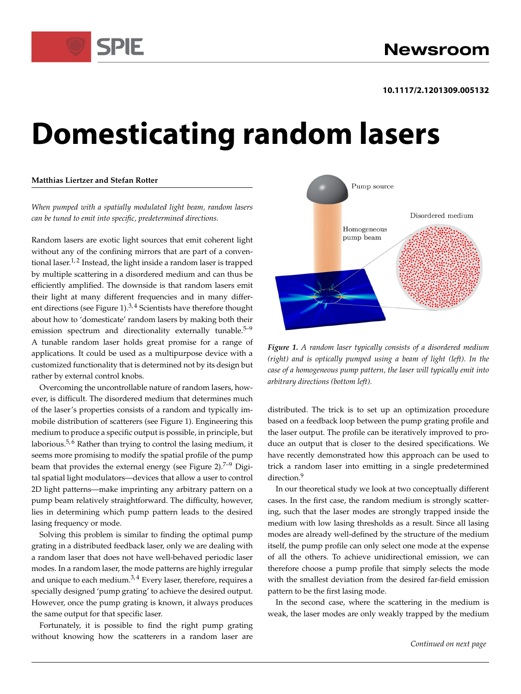

### **10.1117/2.1201309.005132**

# **Domesticating random lasers**

### **Matthias Liertzer and Stefan Rotter**

*When pumped with a spatially modulated light beam, random lasers can be tuned to emit into specific, predetermined directions.*

Random lasers are exotic light sources that emit coherent light without any of the confining mirrors that are part of a conventional laser.<sup>1, 2</sup> Instead, the light inside a random laser is trapped by multiple scattering in a disordered medium and can thus be efficiently amplified. The downside is that random lasers emit their light at many different frequencies and in many different directions (see Figure 1). $^{3,4}$  Scientists have therefore thought about how to 'domesticate' random lasers by making both their emission spectrum and directionality externally tunable. $5-9$ A tunable random laser holds great promise for a range of applications. It could be used as a multipurpose device with a customized functionality that is determined not by its design but rather by external control knobs.

Overcoming the uncontrollable nature of random lasers, however, is difficult. The disordered medium that determines much of the laser's properties consists of a random and typically immobile distribution of scatterers (see Figure 1). Engineering this medium to produce a specific output is possible, in principle, but laborious.<sup>5,6</sup> Rather than trying to control the lasing medium, it seems more promising to modify the spatial profile of the pump beam that provides the external energy (see Figure 2).<sup>7–9</sup> Digital spatial light modulators—devices that allow a user to control 2D light patterns—make imprinting any arbitrary pattern on a pump beam relatively straightforward. The difficulty, however, lies in determining which pump pattern leads to the desired lasing frequency or mode.

Solving this problem is similar to finding the optimal pump grating in a distributed feedback laser, only we are dealing with a random laser that does not have well-behaved periodic laser modes. In a random laser, the mode patterns are highly irregular and unique to each medium. $3,4$  Every laser, therefore, requires a specially designed 'pump grating' to achieve the desired output. However, once the pump grating is known, it always produces the same output for that specific laser.

Fortunately, it is possible to find the right pump grating without knowing how the scatterers in a random laser are



*Figure 1. A random laser typically consists of a disordered medium (right) and is optically pumped using a beam of light (left). In the case of a homogeneous pump pattern, the laser will typically emit into arbitrary directions (bottom left).*

distributed. The trick is to set up an optimization procedure based on a feedback loop between the pump grating profile and the laser output. The profile can be iteratively improved to produce an output that is closer to the desired specifications. We have recently demonstrated how this approach can be used to trick a random laser into emitting in a single predetermined direction.<sup>9</sup>

In our theoretical study we look at two conceptually different cases. In the first case, the random medium is strongly scattering, such that the laser modes are strongly trapped inside the medium with low lasing thresholds as a result. Since all lasing modes are already well-defined by the structure of the medium itself, the pump profile can only select one mode at the expense of all the others. To achieve unidirectional emission, we can therefore choose a pump profile that simply selects the mode with the smallest deviation from the desired far-field emission pattern to be the first lasing mode.

In the second case, where the scattering in the medium is weak, the laser modes are only weakly trapped by the medium